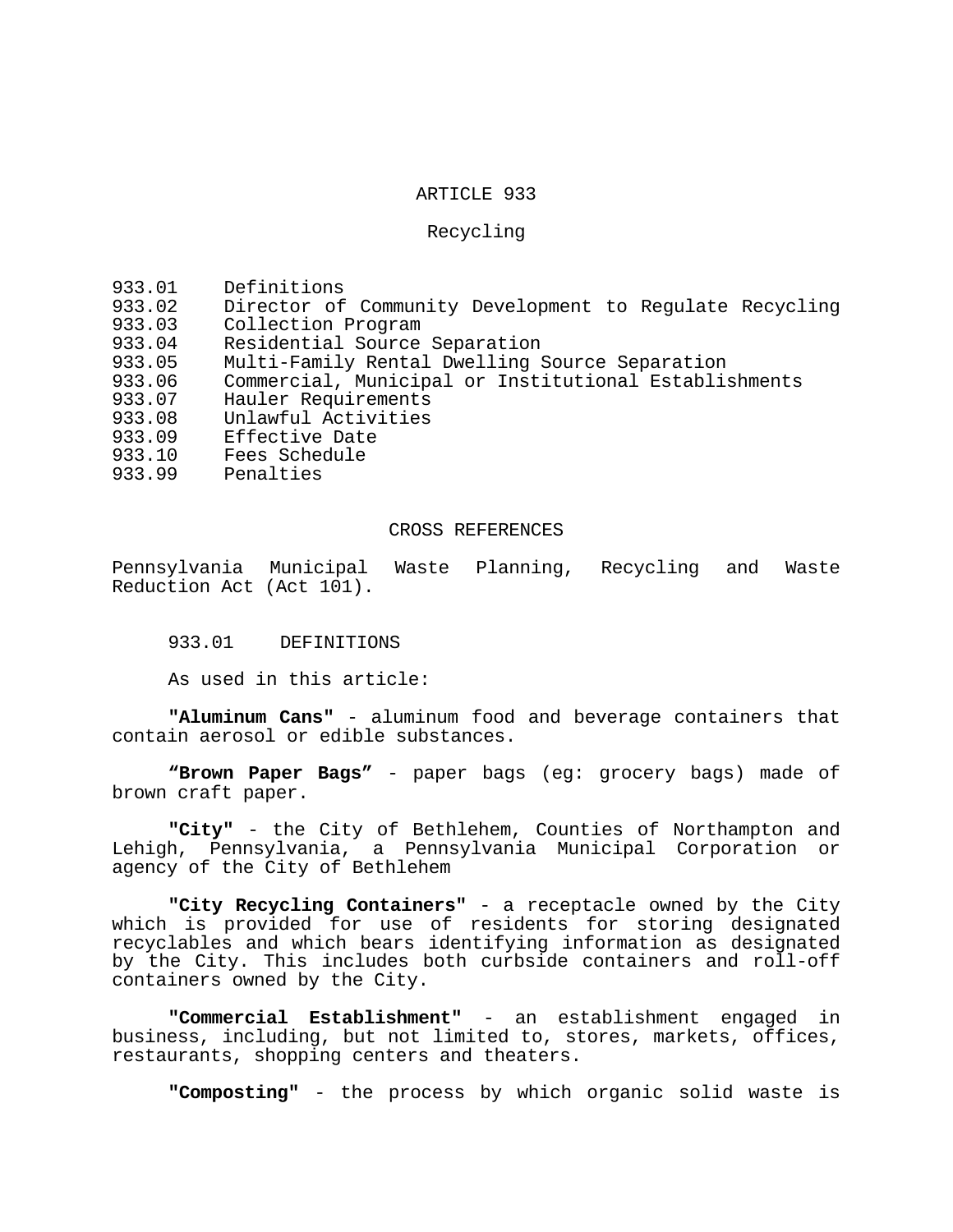### ARTICLE 933

### Recycling

- 933.01 Definitions
- 933.02 Director of Community Development to Regulate Recycling<br>933.03 Collection Program
- 933.03 Collection Program<br>933.04 Residential Source
- Residential Source Separation
- 933.05 Multi-Family Rental Dwelling Source Separation
- 933.06 Commercial, Municipal or Institutional Establishments
- 933.07 Hauler Requirements<br>933.08 Unlawful Activities
- 933.08 Unlawful Activities<br>933.09 Effective Date
- 933.09 Effective Date
- 933.10 Fees Schedule<br>933.99 Penalties
- Penalties

# CROSS REFERENCES

Pennsylvania Municipal Waste Planning, Recycling and Waste Reduction Act (Act 101).

933.01 DEFINITIONS

As used in this article:

**"Aluminum Cans"** - aluminum food and beverage containers that contain aerosol or edible substances.

**"Brown Paper Bags"** - paper bags (eg: grocery bags) made of brown craft paper.

**"City"** - the City of Bethlehem, Counties of Northampton and Lehigh, Pennsylvania, a Pennsylvania Municipal Corporation or agency of the City of Bethlehem

**"City Recycling Containers"** - a receptacle owned by the City which is provided for use of residents for storing designated recyclables and which bears identifying information as designated by the City. This includes both curbside containers and roll-off containers owned by the City.

**"Commercial Establishment"** - an establishment engaged in business, including, but not limited to, stores, markets, offices, restaurants, shopping centers and theaters.

**"Composting"** - the process by which organic solid waste is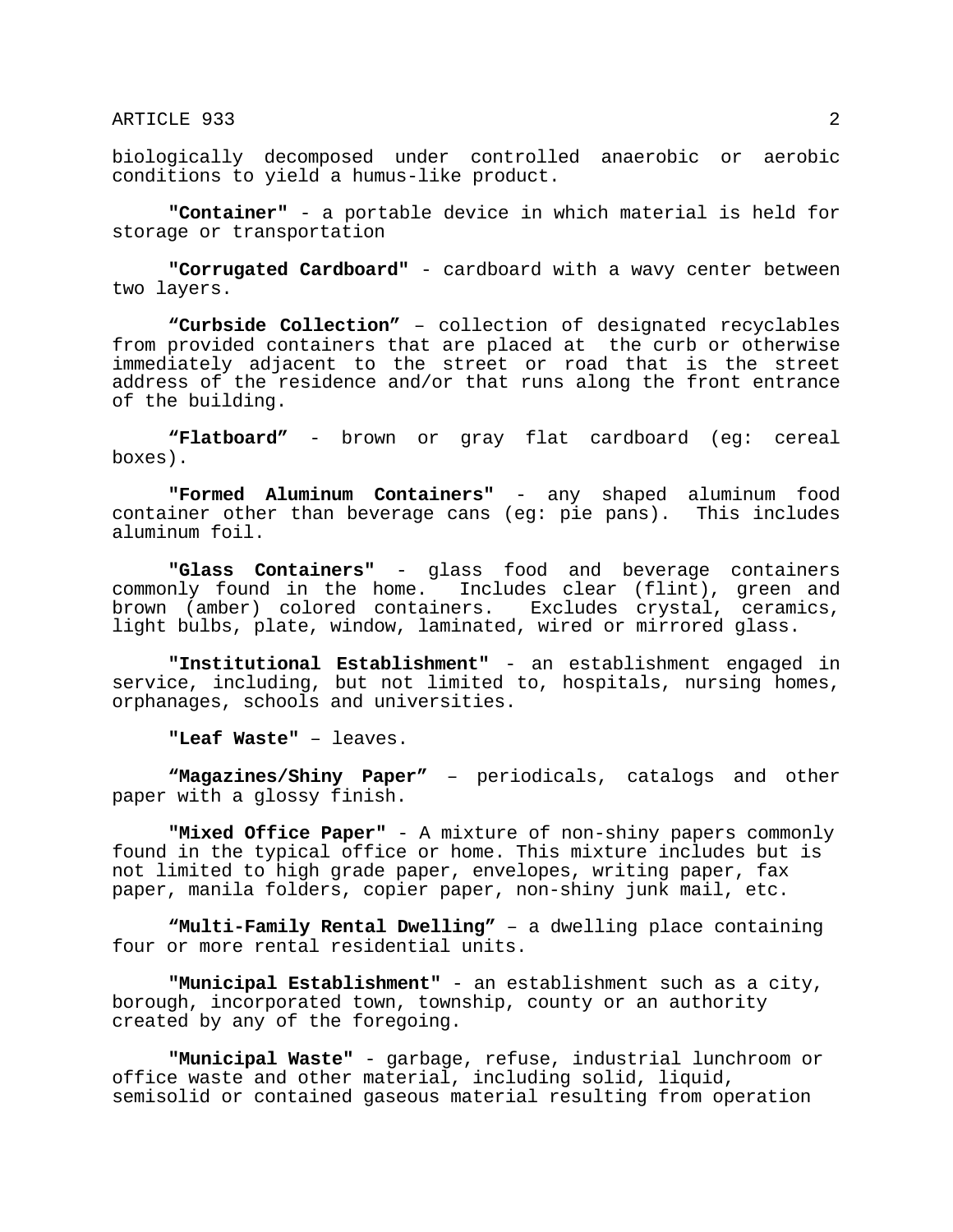biologically decomposed under controlled anaerobic or aerobic conditions to yield a humus-like product.

**"Container"** - a portable device in which material is held for storage or transportation

**"Corrugated Cardboard"** - cardboard with a wavy center between two layers.

**"Curbside Collection"** – collection of designated recyclables from provided containers that are placed at the curb or otherwise immediately adjacent to the street or road that is the street address of the residence and/or that runs along the front entrance of the building.

**"Flatboard"** - brown or gray flat cardboard (eg: cereal boxes).

**"Formed Aluminum Containers"** - any shaped aluminum food container other than beverage cans (eg: pie pans). This includes aluminum foil.

**"Glass Containers"** - glass food and beverage containers commonly found in the home. Includes clear (flint), green and<br>brown (amber) colored containers. Excludes crystal, ceramics, brown (amber) colored containers. light bulbs, plate, window, laminated, wired or mirrored glass.

**"Institutional Establishment"** - an establishment engaged in service, including, but not limited to, hospitals, nursing homes, orphanages, schools and universities.

**"Leaf Waste"** – leaves.

**"Magazines/Shiny Paper"** – periodicals, catalogs and other paper with a glossy finish.

**"Mixed Office Paper"** - A mixture of non-shiny papers commonly found in the typical office or home. This mixture includes but is not limited to high grade paper, envelopes, writing paper, fax paper, manila folders, copier paper, non-shiny junk mail, etc.

**"Multi-Family Rental Dwelling"** – a dwelling place containing four or more rental residential units.

**"Municipal Establishment"** - an establishment such as a city, borough, incorporated town, township, county or an authority created by any of the foregoing.

**"Municipal Waste"** - garbage, refuse, industrial lunchroom or office waste and other material, including solid, liquid, semisolid or contained gaseous material resulting from operation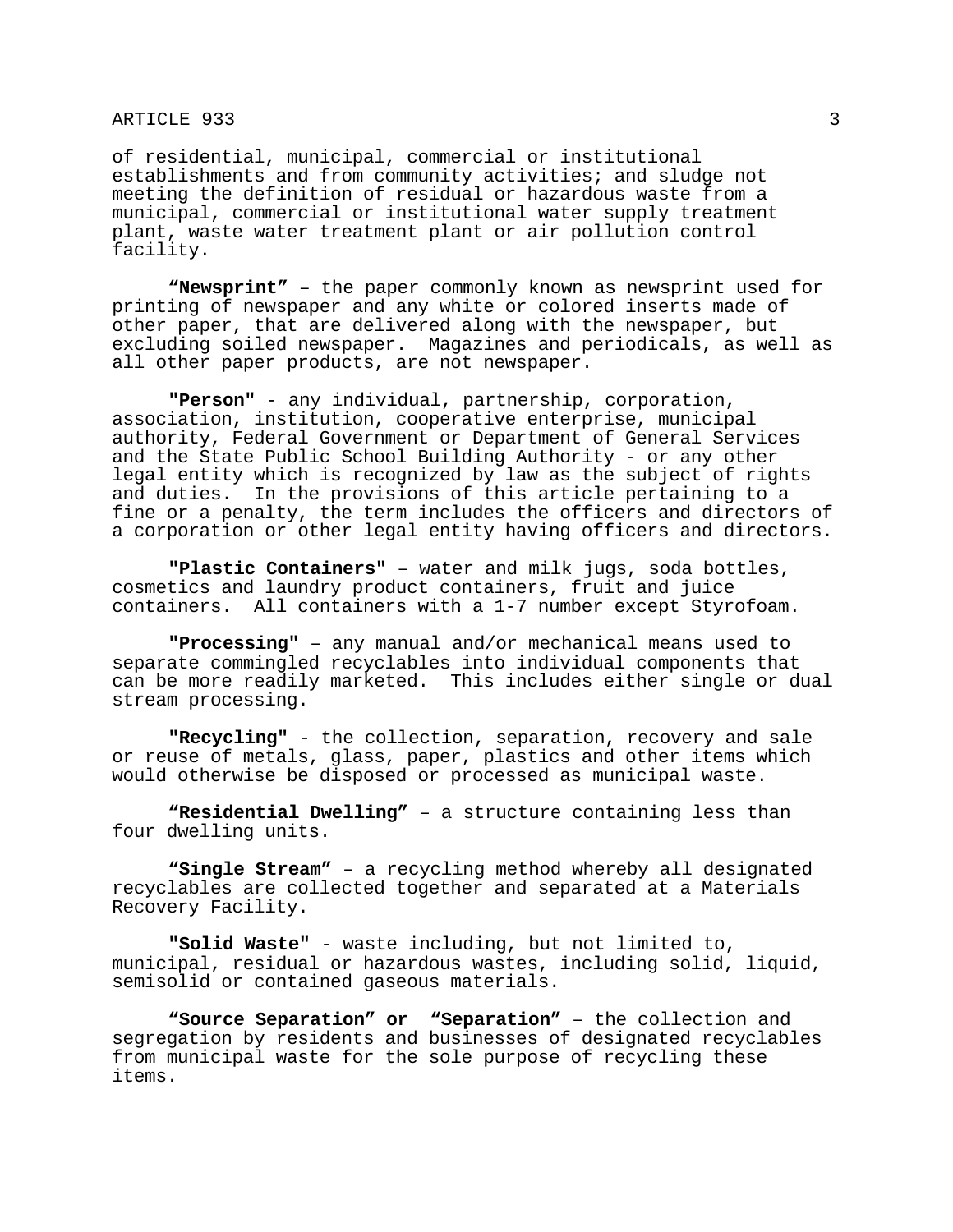of residential, municipal, commercial or institutional establishments and from community activities; and sludge not meeting the definition of residual or hazardous waste from a municipal, commercial or institutional water supply treatment plant, waste water treatment plant or air pollution control facility.

**"Newsprint"** – the paper commonly known as newsprint used for printing of newspaper and any white or colored inserts made of other paper, that are delivered along with the newspaper, but excluding soiled newspaper. Magazines and periodicals, as well as all other paper products, are not newspaper.

**"Person"** - any individual, partnership, corporation, association, institution, cooperative enterprise, municipal authority, Federal Government or Department of General Services and the State Public School Building Authority - or any other legal entity which is recognized by law as the subject of rights and duties. In the provisions of this article pertaining to a fine or a penalty, the term includes the officers and directors of a corporation or other legal entity having officers and directors.

**"Plastic Containers"** – water and milk jugs, soda bottles, cosmetics and laundry product containers, fruit and juice containers. All containers with a 1-7 number except Styrofoam.

**"Processing"** – any manual and/or mechanical means used to separate commingled recyclables into individual components that can be more readily marketed. This includes either single or dual stream processing.

**"Recycling"** - the collection, separation, recovery and sale or reuse of metals, glass, paper, plastics and other items which would otherwise be disposed or processed as municipal waste.

**"Residential Dwelling"** – a structure containing less than four dwelling units.

**"Single Stream"** – a recycling method whereby all designated recyclables are collected together and separated at a Materials Recovery Facility.

**"Solid Waste"** - waste including, but not limited to, municipal, residual or hazardous wastes, including solid, liquid, semisolid or contained gaseous materials.

**"Source Separation" or "Separation"** – the collection and segregation by residents and businesses of designated recyclables from municipal waste for the sole purpose of recycling these items.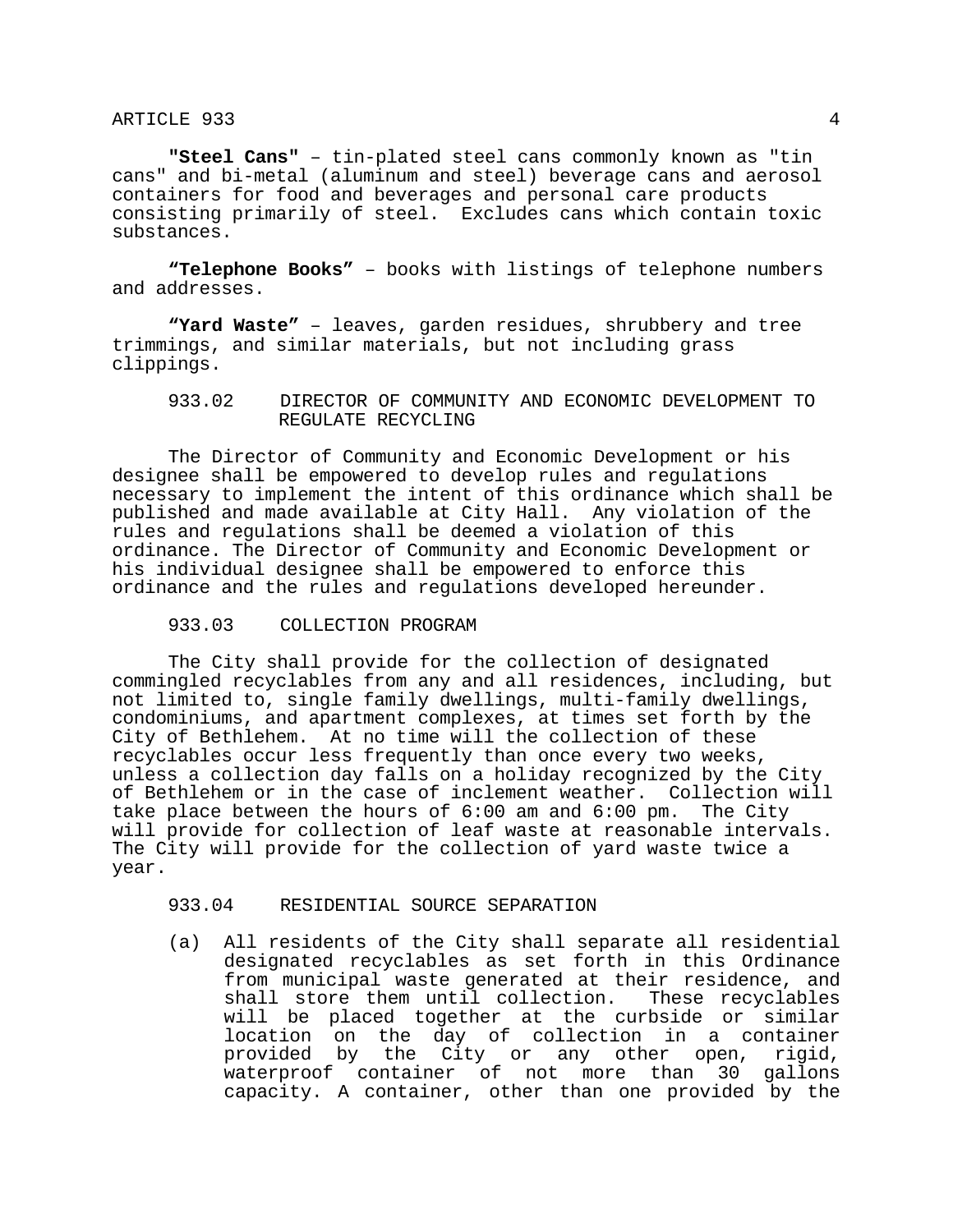**"Steel Cans"** – tin-plated steel cans commonly known as "tin cans" and bi-metal (aluminum and steel) beverage cans and aerosol containers for food and beverages and personal care products consisting primarily of steel. Excludes cans which contain toxic substances.

**"Telephone Books"** – books with listings of telephone numbers and addresses.

**"Yard Waste"** – leaves, garden residues, shrubbery and tree trimmings, and similar materials, but not including grass clippings.

# 933.02 DIRECTOR OF COMMUNITY AND ECONOMIC DEVELOPMENT TO REGULATE RECYCLING

 The Director of Community and Economic Development or his designee shall be empowered to develop rules and regulations necessary to implement the intent of this ordinance which shall be published and made available at City Hall. Any violation of the rules and regulations shall be deemed a violation of this ordinance. The Director of Community and Economic Development or his individual designee shall be empowered to enforce this ordinance and the rules and regulations developed hereunder.

### 933.03 COLLECTION PROGRAM

 The City shall provide for the collection of designated commingled recyclables from any and all residences, including, but not limited to, single family dwellings, multi-family dwellings, condominiums, and apartment complexes, at times set forth by the City of Bethlehem. At no time will the collection of these recyclables occur less frequently than once every two weeks, unless a collection day falls on a holiday recognized by the City of Bethlehem or in the case of inclement weather. Collection will<br>take place between the hours of 6:00 am and 6:00 pm. The City take place between the hours of  $6:00$  am and  $6:00$  pm. will provide for collection of leaf waste at reasonable intervals. The City will provide for the collection of yard waste twice a year.

#### 933.04 RESIDENTIAL SOURCE SEPARATION

(a) All residents of the City shall separate all residential designated recyclables as set forth in this Ordinance from municipal waste generated at their residence, and shall store them until collection. These recyclables will be placed together at the curbside or similar location on the day of collection in a container provided by the City or any other open, rigid, waterproof container of not more than 30 gallons capacity. A container, other than one provided by the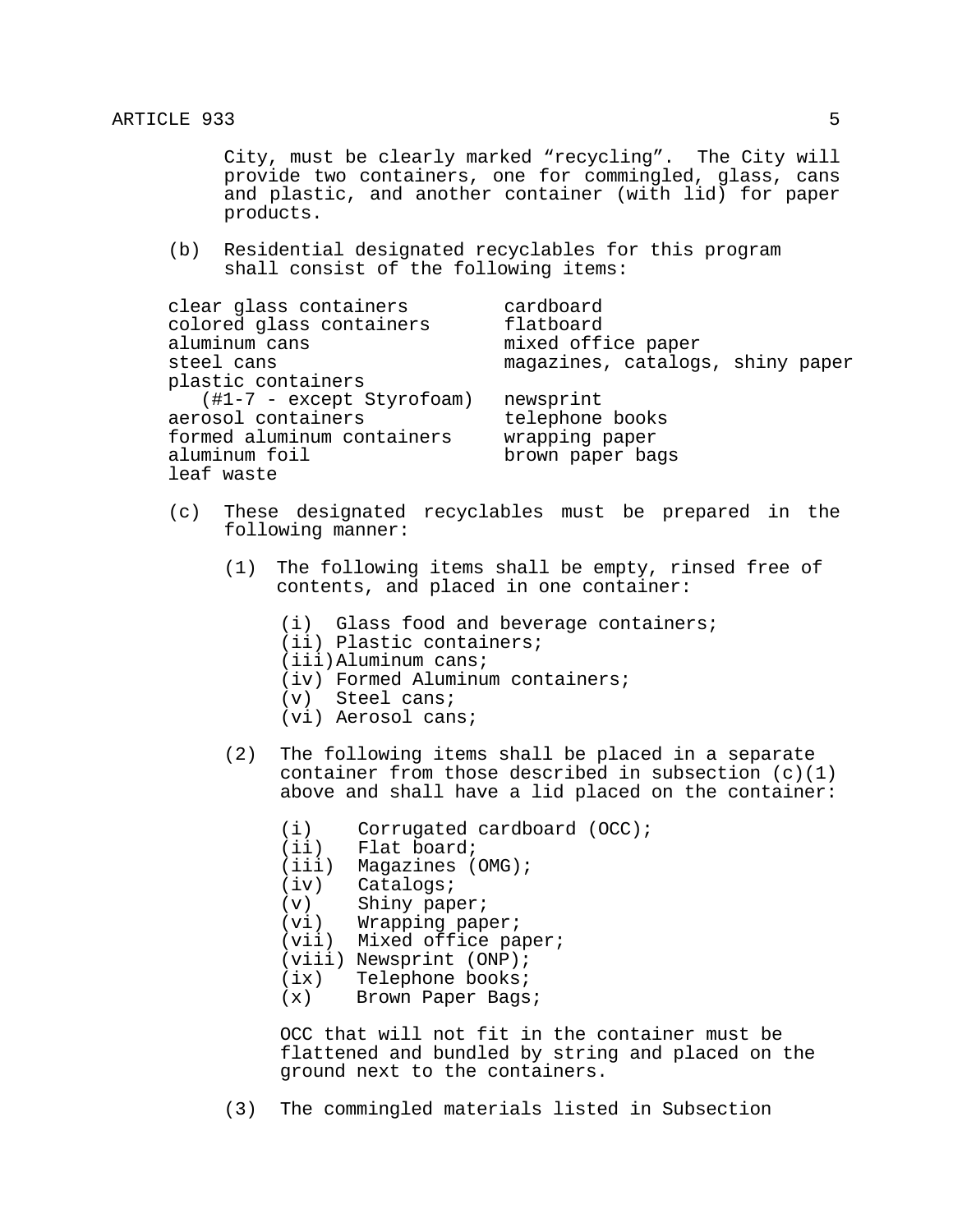City, must be clearly marked "recycling". The City will provide two containers, one for commingled, glass, cans and plastic, and another container (with lid) for paper products.

(b) Residential designated recyclables for this program shall consist of the following items:

| clear glass containers              | cardboard                        |
|-------------------------------------|----------------------------------|
| colored glass containers            | flatboard                        |
| aluminum cans                       | mixed office paper               |
| steel cans                          | magazines, catalogs, shiny paper |
| plastic containers                  |                                  |
| $(\text{\#1-7 - except Styrofoam})$ | newsprint                        |
| aerosol containers                  | telephone books                  |
| formed aluminum containers          | wrapping paper                   |
| aluminum foil                       | brown paper bags                 |
| leaf waste                          |                                  |

- (c) These designated recyclables must be prepared in the following manner:
	- (1) The following items shall be empty, rinsed free of contents, and placed in one container:
		- (i) Glass food and beverage containers;
		- (ii) Plastic containers;
		- (iii)Aluminum cans;
		- (iv) Formed Aluminum containers;
		- (v) Steel cans;
		- (vi) Aerosol cans;
	- (2) The following items shall be placed in a separate container from those described in subsection (c)(1) above and shall have a lid placed on the container:
		- (i) Corrugated cardboard (OCC);
		- (ii) Flat board;
		- (iii) Magazines (OMG);
		- (iv) Catalogs;
		- (v) Shiny paper;
		- (vi) Wrapping paper;
		- (vii) Mixed office paper;
		- (viii) Newsprint (ONP);
		- (ix) Telephone books;
		- (x) Brown Paper Bags;

OCC that will not fit in the container must be flattened and bundled by string and placed on the ground next to the containers.

(3) The commingled materials listed in Subsection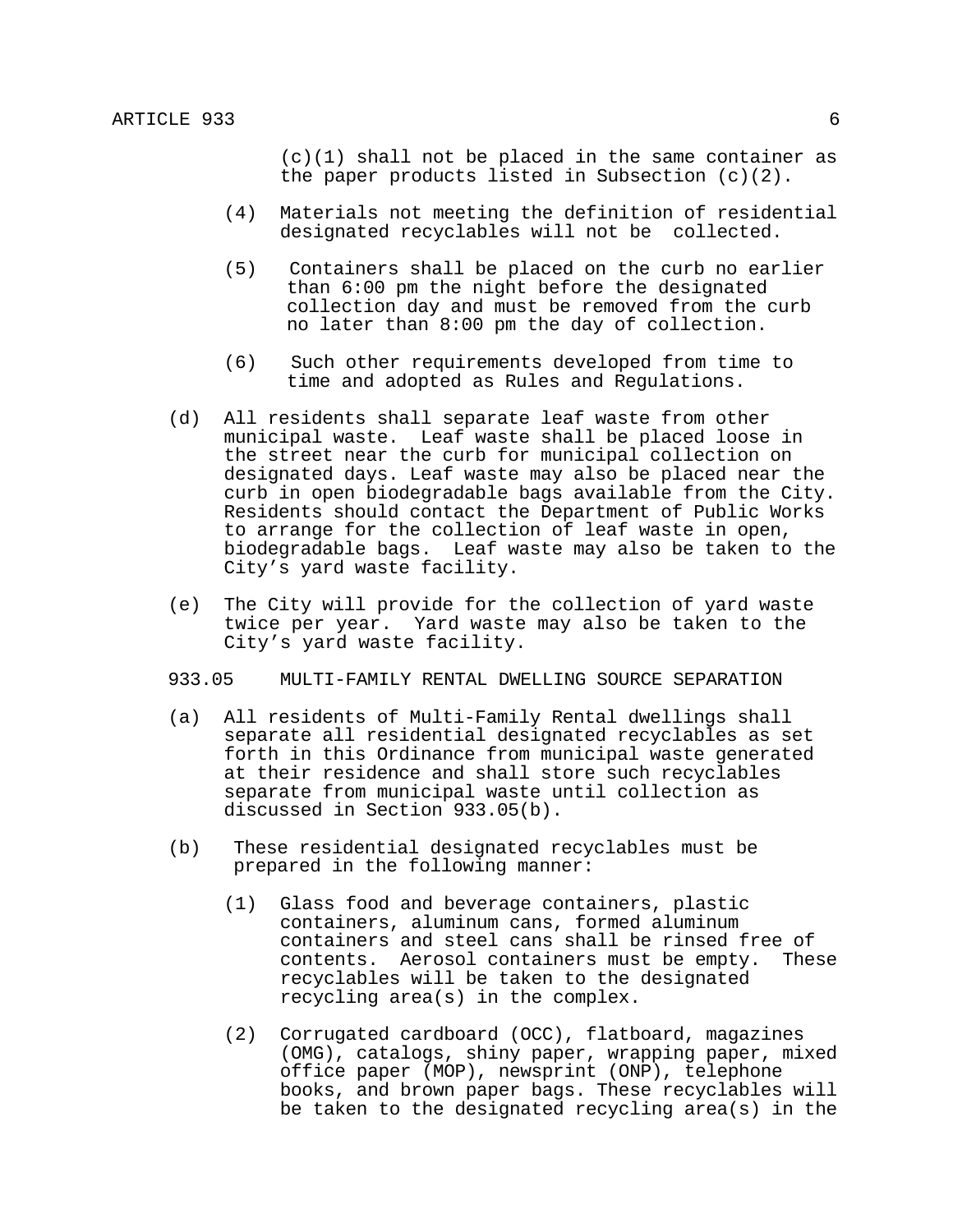(c)(1) shall not be placed in the same container as the paper products listed in Subsection (c)(2).

- (4) Materials not meeting the definition of residential designated recyclables will not be collected.
- (5) Containers shall be placed on the curb no earlier than 6:00 pm the night before the designated collection day and must be removed from the curb no later than 8:00 pm the day of collection.<br>(6) Such other requirements developed from time to
- time and adopted as Rules and Regulations.
- (d) All residents shall separate leaf waste from other municipal waste. Leaf waste shall be placed loose in the street near the curb for municipal collection on designated days. Leaf waste may also be placed near the curb in open biodegradable bags available from the City. Residents should contact the Department of Public Works to arrange for the collection of leaf waste in open, biodegradable bags. Leaf waste may also be taken to the City's yard waste facility.
- (e) The City will provide for the collection of yard waste twice per year. Yard waste may also be taken to the City's yard waste facility.
- 933.05 MULTI-FAMILY RENTAL DWELLING SOURCE SEPARATION
- (a) All residents of Multi-Family Rental dwellings shall separate all residential designated recyclables as set forth in this Ordinance from municipal waste generated at their residence and shall store such recyclables separate from municipal waste until collection as discussed in Section 933.05(b).
- (b) These residential designated recyclables must be prepared in the following manner:
	- (1) Glass food and beverage containers, plastic containers, aluminum cans, formed aluminum containers and steel cans shall be rinsed free of contents. Aerosol containers must be empty. These recyclables will be taken to the designated recycling area(s) in the complex.
	- (2) Corrugated cardboard (OCC), flatboard, magazines (OMG), catalogs, shiny paper, wrapping paper, mixed office paper (MOP), newsprint (ONP), telephone books, and brown paper bags. These recyclables will be taken to the designated recycling area(s) in the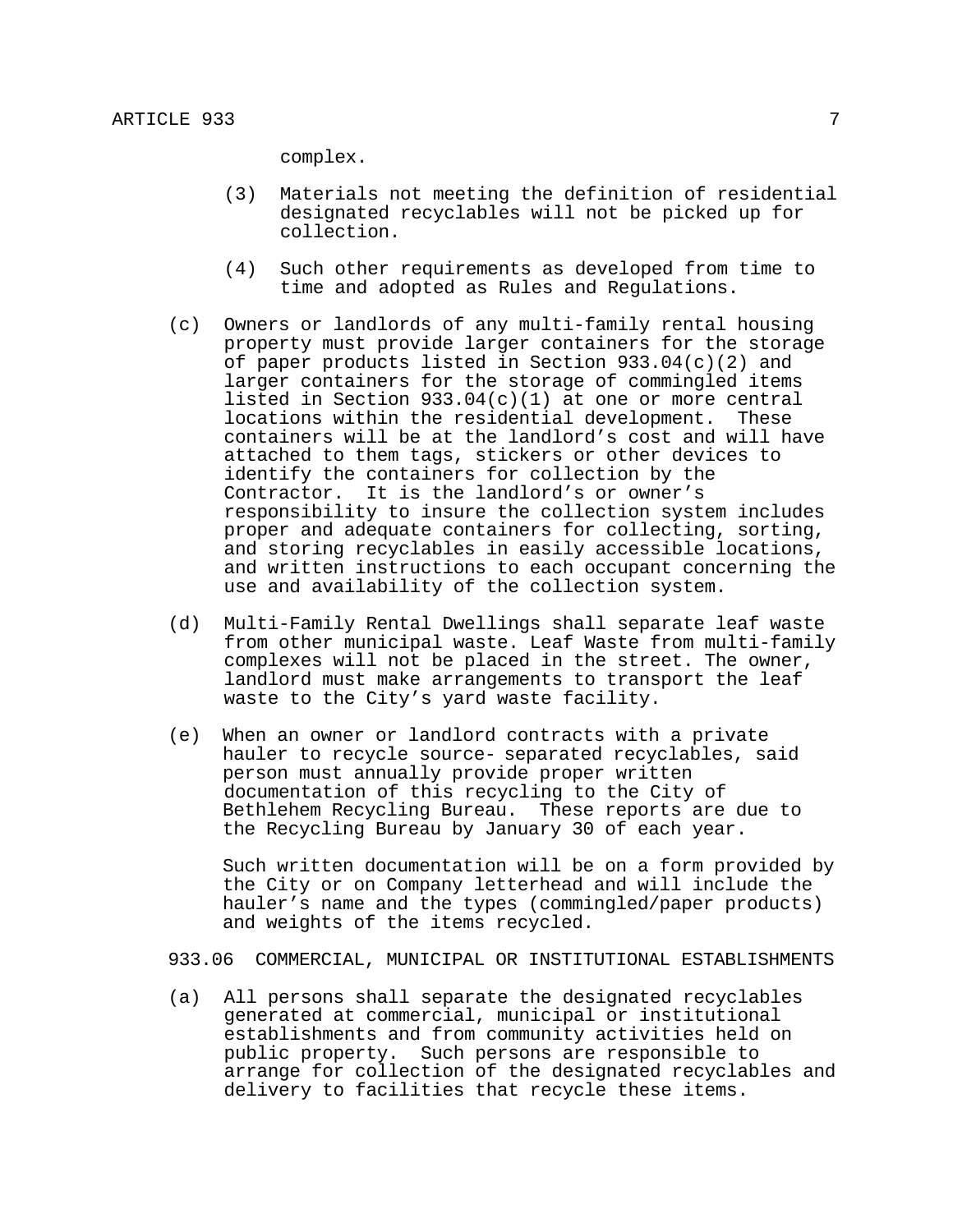complex.

- (3) Materials not meeting the definition of residential designated recyclables will not be picked up for collection.
- (4) Such other requirements as developed from time to time and adopted as Rules and Regulations.
- (c) Owners or landlords of any multi-family rental housing property must provide larger containers for the storage of paper products listed in Section 933.04(c)(2) and larger containers for the storage of commingled items listed in Section 933.04(c)(1) at one or more central locations within the residential development. These containers will be at the landlord's cost and will have attached to them tags, stickers or other devices to identify the containers for collection by the Contractor. It is the landlord's or owner's responsibility to insure the collection system includes proper and adequate containers for collecting, sorting, and storing recyclables in easily accessible locations, and written instructions to each occupant concerning the use and availability of the collection system.<br>(d) Multi-Family Rental Dwellings shall separate leaf waste
- from other municipal waste. Leaf Waste from multi-family complexes will not be placed in the street. The owner, landlord must make arrangements to transport the leaf waste to the City's yard waste facility.
- (e) When an owner or landlord contracts with a private hauler to recycle source- separated recyclables, said person must annually provide proper written documentation of this recycling to the City of Bethlehem Recycling Bureau. These reports are due to the Recycling Bureau by January 30 of each year.

 Such written documentation will be on a form provided by the City or on Company letterhead and will include the hauler's name and the types (commingled/paper products) and weights of the items recycled.

933.06 COMMERCIAL, MUNICIPAL OR INSTITUTIONAL ESTABLISHMENTS

(a) All persons shall separate the designated recyclables generated at commercial, municipal or institutional establishments and from community activities held on public property. Such persons are responsible to arrange for collection of the designated recyclables and delivery to facilities that recycle these items.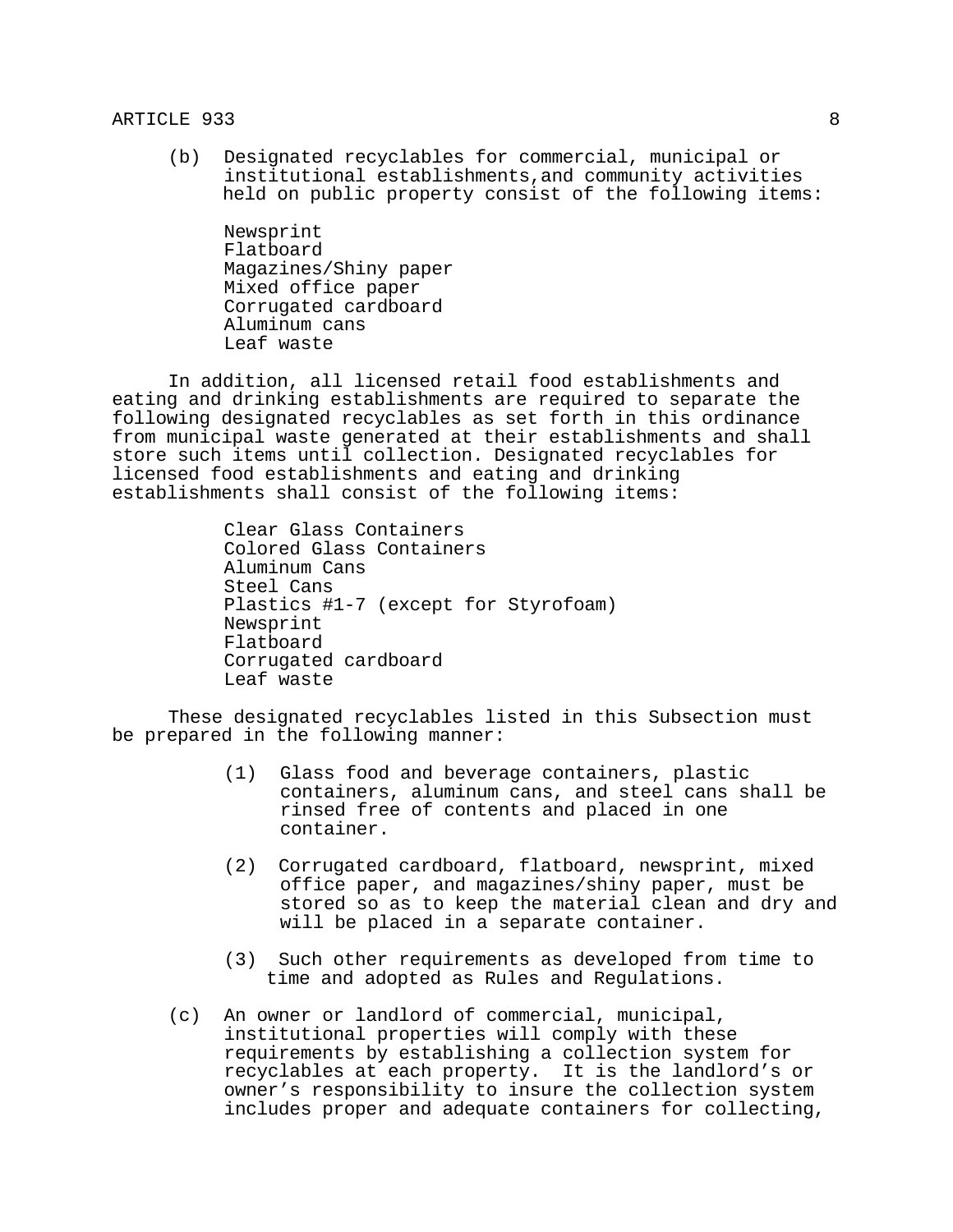(b) Designated recyclables for commercial, municipal or institutional establishments,and community activities held on public property consist of the following items:

 Newsprint Flatboard Magazines/Shiny paper Mixed office paper Corrugated cardboard Aluminum cans Leaf waste

 In addition, all licensed retail food establishments and eating and drinking establishments are required to separate the following designated recyclables as set forth in this ordinance from municipal waste generated at their establishments and shall store such items until collection. Designated recyclables for licensed food establishments and eating and drinking establishments shall consist of the following items:

> Clear Glass Containers Colored Glass Containers Aluminum Cans Steel Cans Plastics #1-7 (except for Styrofoam) Newsprint Flatboard Corrugated cardboard Leaf waste

 These designated recyclables listed in this Subsection must be prepared in the following manner:

- (1) Glass food and beverage containers, plastic containers, aluminum cans, and steel cans shall be rinsed free of contents and placed in one container.
- (2) Corrugated cardboard, flatboard, newsprint, mixed office paper, and magazines/shiny paper, must be stored so as to keep the material clean and dry and will be placed in a separate container.
- (3) Such other requirements as developed from time to time and adopted as Rules and Regulations.
- (c) An owner or landlord of commercial, municipal, institutional properties will comply with these requirements by establishing a collection system for recyclables at each property. It is the landlord's or owner's responsibility to insure the collection system includes proper and adequate containers for collecting,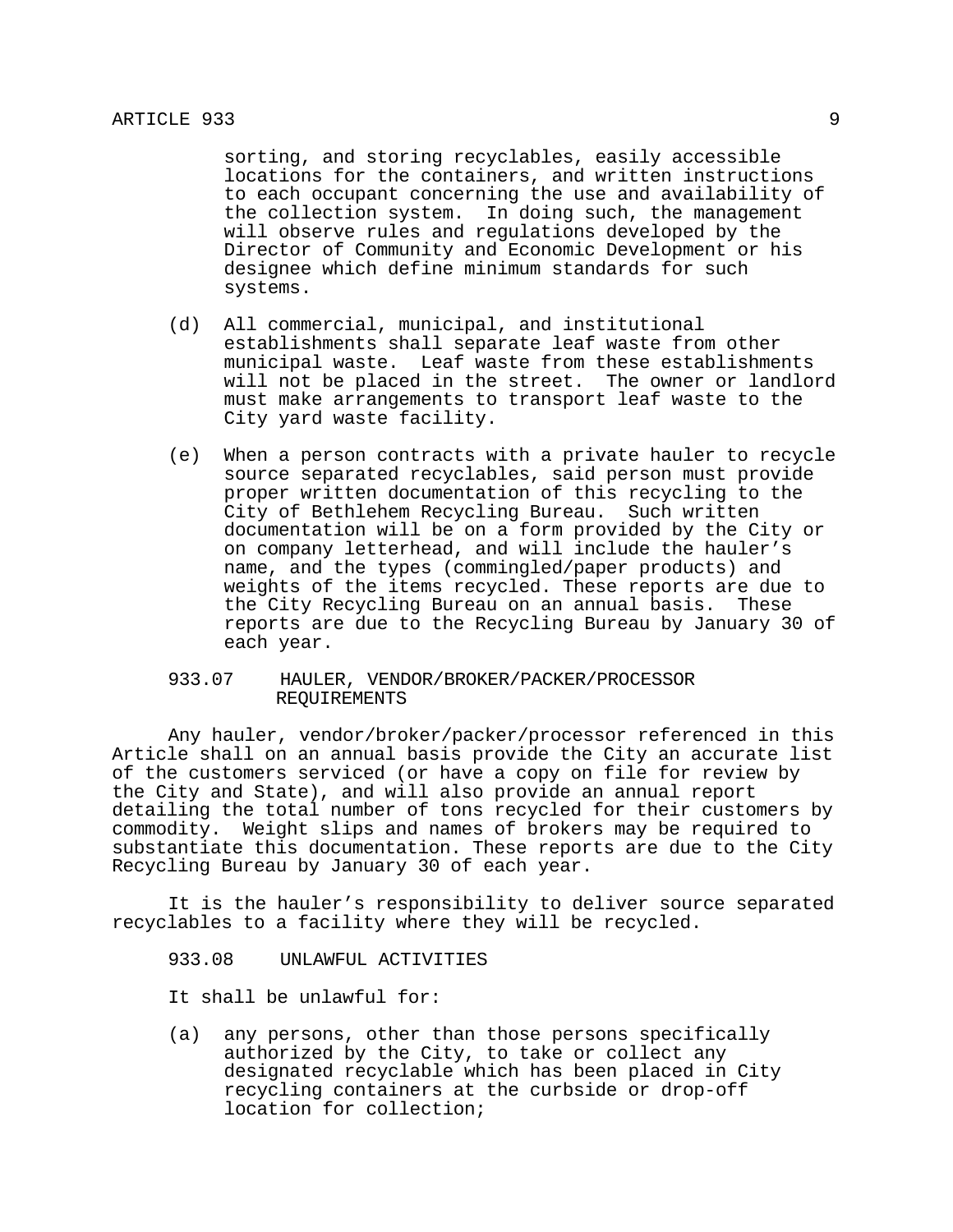sorting, and storing recyclables, easily accessible locations for the containers, and written instructions to each occupant concerning the use and availability of the collection system. In doing such, the management will observe rules and regulations developed by the Director of Community and Economic Development or his designee which define minimum standards for such systems.

- (d) All commercial, municipal, and institutional establishments shall separate leaf waste from other municipal waste. Leaf waste from these establishments will not be placed in the street. The owner or landlord must make arrangements to transport leaf waste to the City yard waste facility.
- (e) When a person contracts with a private hauler to recycle source separated recyclables, said person must provide proper written documentation of this recycling to the City of Bethlehem Recycling Bureau. Such written documentation will be on a form provided by the City or on company letterhead, and will include the hauler's name, and the types (commingled/paper products) and weights of the items recycled. These reports are due to the City Recycling Bureau on an annual basis. These reports are due to the Recycling Bureau by January 30 of each year.

## 933.07 HAULER, VENDOR/BROKER/PACKER/PROCESSOR REQUIREMENTS

 Any hauler, vendor/broker/packer/processor referenced in this Article shall on an annual basis provide the City an accurate list of the customers serviced (or have a copy on file for review by the City and State), and will also provide an annual report detailing the total number of tons recycled for their customers by commodity. Weight slips and names of brokers may be required to substantiate this documentation. These reports are due to the City Recycling Bureau by January 30 of each year.

 It is the hauler's responsibility to deliver source separated recyclables to a facility where they will be recycled.

933.08 UNLAWFUL ACTIVITIES

It shall be unlawful for:

(a) any persons, other than those persons specifically authorized by the City, to take or collect any designated recyclable which has been placed in City recycling containers at the curbside or drop-off location for collection;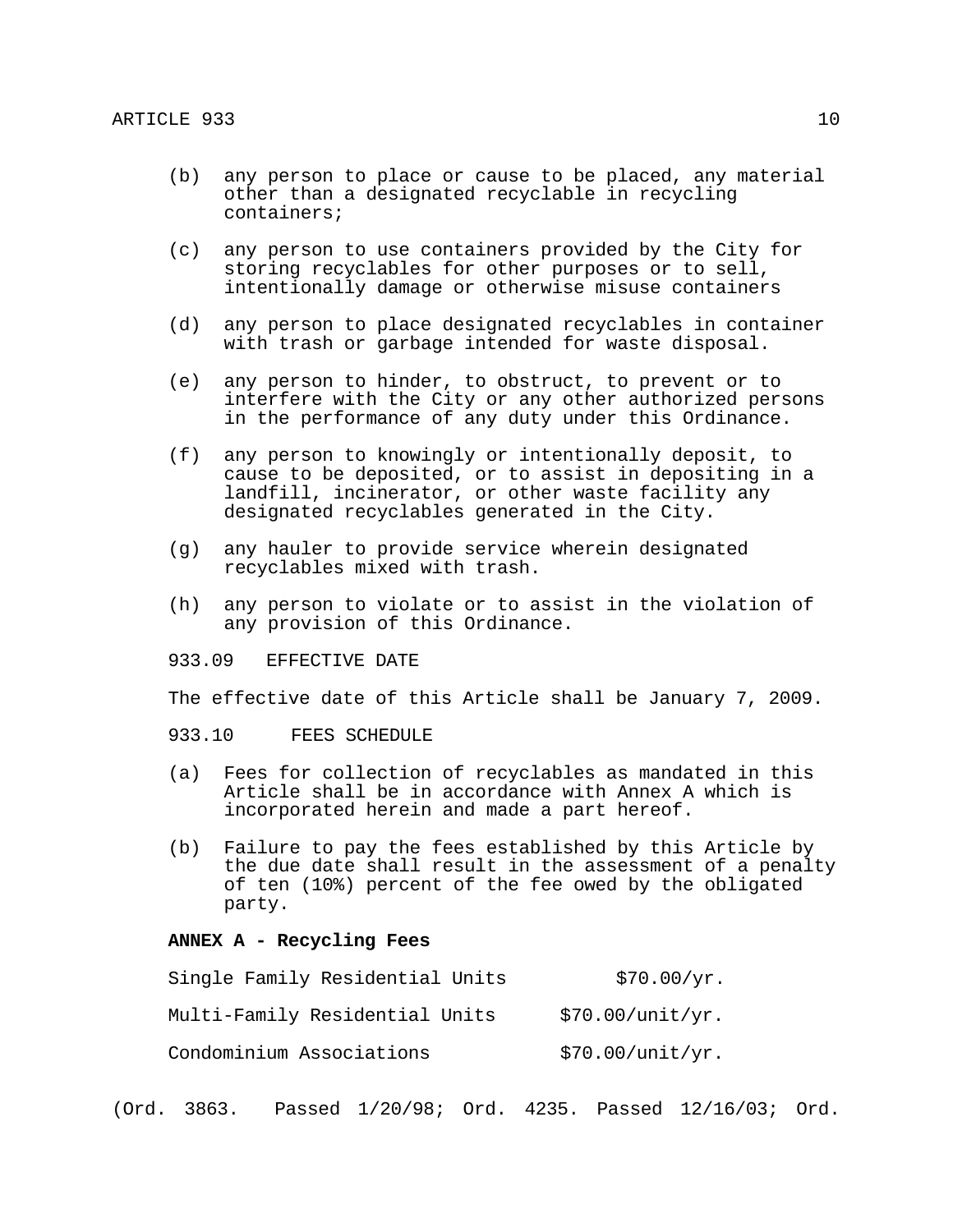- (b) any person to place or cause to be placed, any material other than a designated recyclable in recycling containers;
- (c) any person to use containers provided by the City for storing recyclables for other purposes or to sell, intentionally damage or otherwise misuse containers
- (d) any person to place designated recyclables in container with trash or garbage intended for waste disposal.
- (e) any person to hinder, to obstruct, to prevent or to interfere with the City or any other authorized persons in the performance of any duty under this Ordinance.
- (f) any person to knowingly or intentionally deposit, to cause to be deposited, or to assist in depositing in a landfill, incinerator, or other waste facility any designated recyclables generated in the City.
- (g) any hauler to provide service wherein designated recyclables mixed with trash.
- (h) any person to violate or to assist in the violation of any provision of this Ordinance.
- 933.09 EFFECTIVE DATE
- The effective date of this Article shall be January 7, 2009.
- 933.10 FEES SCHEDULE
- (a) Fees for collection of recyclables as mandated in this Article shall be in accordance with Annex A which is incorporated herein and made a part hereof.
- (b) Failure to pay the fees established by this Article by the due date shall result in the assessment of a penalty of ten (10%) percent of the fee owed by the obligated party.

### **ANNEX A - Recycling Fees**

| Single Family Residential Units | \$70.00/yr.      |
|---------------------------------|------------------|
| Multi-Family Residential Units  | \$70.00/unit/yr. |
| Condominium Associations        | \$70.00/unit/yr. |

(Ord. 3863. Passed 1/20/98; Ord. 4235. Passed 12/16/03; Ord.